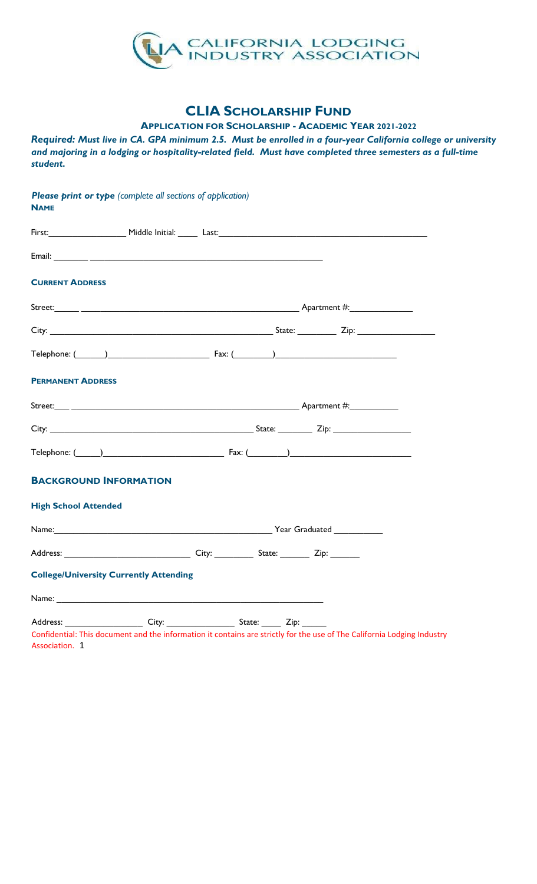

# CLIA SCHOLARSHIP FUND

APPLICATION FOR SCHOLARSHIP - ACADEMIC YEAR 2021-2022

Required: Must live in CA. GPA minimum 2.5. Must be enrolled in a four-year California college or university and majoring in a lodging or hospitality-related field. Must have completed three semesters as a full-time student.

| <b>CURRENT ADDRESS</b>                                                                                                                                                                                                               |  |                                                           |
|--------------------------------------------------------------------------------------------------------------------------------------------------------------------------------------------------------------------------------------|--|-----------------------------------------------------------|
|                                                                                                                                                                                                                                      |  |                                                           |
|                                                                                                                                                                                                                                      |  |                                                           |
|                                                                                                                                                                                                                                      |  | Telephone: $(\_\_\_\_)$                                   |
| <b>PERMANENT ADDRESS</b>                                                                                                                                                                                                             |  |                                                           |
|                                                                                                                                                                                                                                      |  |                                                           |
|                                                                                                                                                                                                                                      |  |                                                           |
|                                                                                                                                                                                                                                      |  | Telephone: $\begin{pmatrix} 0 & 1 \\ 0 & 1 \end{pmatrix}$ |
| <b>BACKGROUND INFORMATION</b>                                                                                                                                                                                                        |  |                                                           |
| <b>High School Attended</b>                                                                                                                                                                                                          |  |                                                           |
| Name: <u>Name: Alexander Contract Contract Contract Contract Contract Contract Contract Contract Contract Contract Contract Contract Contract Contract Contract Contract Contract Contract Contract Contract Contract Contract C</u> |  |                                                           |
|                                                                                                                                                                                                                                      |  |                                                           |
| <b>College/University Currently Attending</b>                                                                                                                                                                                        |  |                                                           |
| Name: and the state of the state of the state of the state of the state of the state of the state of the state of the state of the state of the state of the state of the state of the state of the state of the state of the        |  |                                                           |
|                                                                                                                                                                                                                                      |  |                                                           |